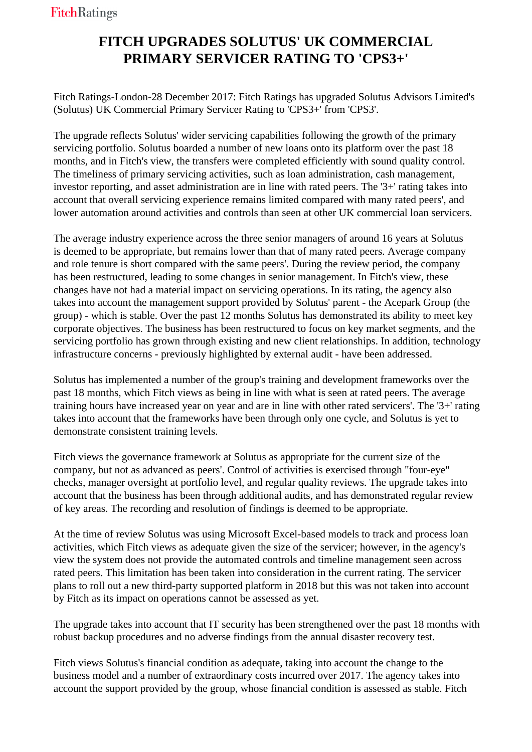## **FITCH UPGRADES SOLUTUS' UK COMMERCIAL PRIMARY SERVICER RATING TO 'CPS3+'**

 Fitch Ratings-London-28 December 2017: Fitch Ratings has upgraded Solutus Advisors Limited's (Solutus) UK Commercial Primary Servicer Rating to 'CPS3+' from 'CPS3'.

 The upgrade reflects Solutus' wider servicing capabilities following the growth of the primary servicing portfolio. Solutus boarded a number of new loans onto its platform over the past 18 months, and in Fitch's view, the transfers were completed efficiently with sound quality control. The timeliness of primary servicing activities, such as loan administration, cash management, investor reporting, and asset administration are in line with rated peers. The '3+' rating takes into account that overall servicing experience remains limited compared with many rated peers', and lower automation around activities and controls than seen at other UK commercial loan servicers.

 The average industry experience across the three senior managers of around 16 years at Solutus is deemed to be appropriate, but remains lower than that of many rated peers. Average company and role tenure is short compared with the same peers'. During the review period, the company has been restructured, leading to some changes in senior management. In Fitch's view, these changes have not had a material impact on servicing operations. In its rating, the agency also takes into account the management support provided by Solutus' parent - the Acepark Group (the group) - which is stable. Over the past 12 months Solutus has demonstrated its ability to meet key corporate objectives. The business has been restructured to focus on key market segments, and the servicing portfolio has grown through existing and new client relationships. In addition, technology infrastructure concerns - previously highlighted by external audit - have been addressed.

 Solutus has implemented a number of the group's training and development frameworks over the past 18 months, which Fitch views as being in line with what is seen at rated peers. The average training hours have increased year on year and are in line with other rated servicers'. The '3+' rating takes into account that the frameworks have been through only one cycle, and Solutus is yet to demonstrate consistent training levels.

 Fitch views the governance framework at Solutus as appropriate for the current size of the company, but not as advanced as peers'. Control of activities is exercised through "four-eye" checks, manager oversight at portfolio level, and regular quality reviews. The upgrade takes into account that the business has been through additional audits, and has demonstrated regular review of key areas. The recording and resolution of findings is deemed to be appropriate.

 At the time of review Solutus was using Microsoft Excel-based models to track and process loan activities, which Fitch views as adequate given the size of the servicer; however, in the agency's view the system does not provide the automated controls and timeline management seen across rated peers. This limitation has been taken into consideration in the current rating. The servicer plans to roll out a new third-party supported platform in 2018 but this was not taken into account by Fitch as its impact on operations cannot be assessed as yet.

 The upgrade takes into account that IT security has been strengthened over the past 18 months with robust backup procedures and no adverse findings from the annual disaster recovery test.

 Fitch views Solutus's financial condition as adequate, taking into account the change to the business model and a number of extraordinary costs incurred over 2017. The agency takes into account the support provided by the group, whose financial condition is assessed as stable. Fitch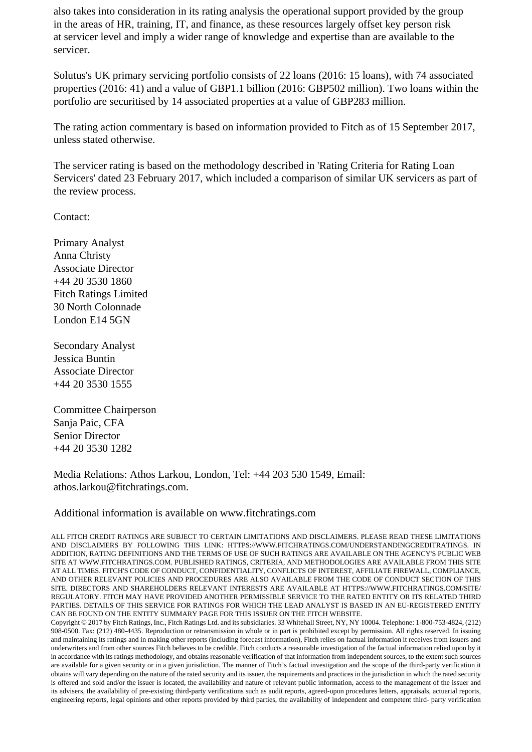also takes into consideration in its rating analysis the operational support provided by the group in the areas of HR, training, IT, and finance, as these resources largely offset key person risk at servicer level and imply a wider range of knowledge and expertise than are available to the servicer.

 Solutus's UK primary servicing portfolio consists of 22 loans (2016: 15 loans), with 74 associated properties (2016: 41) and a value of GBP1.1 billion (2016: GBP502 million). Two loans within the portfolio are securitised by 14 associated properties at a value of GBP283 million.

 The rating action commentary is based on information provided to Fitch as of 15 September 2017, unless stated otherwise.

 The servicer rating is based on the methodology described in 'Rating Criteria for Rating Loan Servicers' dated 23 February 2017, which included a comparison of similar UK servicers as part of the review process.

Contact:

 Primary Analyst Anna Christy Associate Director +44 20 3530 1860 Fitch Ratings Limited 30 North Colonnade London E14 5GN

 Secondary Analyst Jessica Buntin Associate Director +44 20 3530 1555

 Committee Chairperson Sanja Paic, CFA Senior Director +44 20 3530 1282

 Media Relations: Athos Larkou, London, Tel: +44 203 530 1549, Email: athos.larkou@fitchratings.com.

## Additional information is available on www.fitchratings.com

ALL FITCH CREDIT RATINGS ARE SUBJECT TO CERTAIN LIMITATIONS AND DISCLAIMERS. PLEASE READ THESE LIMITATIONS AND DISCLAIMERS BY FOLLOWING THIS LINK: HTTPS://WWW.FITCHRATINGS.COM/UNDERSTANDINGCREDITRATINGS. IN ADDITION, RATING DEFINITIONS AND THE TERMS OF USE OF SUCH RATINGS ARE AVAILABLE ON THE AGENCY'S PUBLIC WEB SITE AT WWW.FITCHRATINGS.COM. PUBLISHED RATINGS, CRITERIA, AND METHODOLOGIES ARE AVAILABLE FROM THIS SITE AT ALL TIMES. FITCH'S CODE OF CONDUCT, CONFIDENTIALITY, CONFLICTS OF INTEREST, AFFILIATE FIREWALL, COMPLIANCE, AND OTHER RELEVANT POLICIES AND PROCEDURES ARE ALSO AVAILABLE FROM THE CODE OF CONDUCT SECTION OF THIS SITE. DIRECTORS AND SHAREHOLDERS RELEVANT INTERESTS ARE AVAILABLE AT HTTPS://WWW.FITCHRATINGS.COM/SITE/ REGULATORY. FITCH MAY HAVE PROVIDED ANOTHER PERMISSIBLE SERVICE TO THE RATED ENTITY OR ITS RELATED THIRD PARTIES. DETAILS OF THIS SERVICE FOR RATINGS FOR WHICH THE LEAD ANALYST IS BASED IN AN EU-REGISTERED ENTITY CAN BE FOUND ON THE ENTITY SUMMARY PAGE FOR THIS ISSUER ON THE FITCH WEBSITE.

Copyright © 2017 by Fitch Ratings, Inc., Fitch Ratings Ltd. and its subsidiaries. 33 Whitehall Street, NY, NY 10004. Telephone: 1-800-753-4824, (212) 908-0500. Fax: (212) 480-4435. Reproduction or retransmission in whole or in part is prohibited except by permission. All rights reserved. In issuing and maintaining its ratings and in making other reports (including forecast information), Fitch relies on factual information it receives from issuers and underwriters and from other sources Fitch believes to be credible. Fitch conducts a reasonable investigation of the factual information relied upon by it in accordance with its ratings methodology, and obtains reasonable verification of that information from independent sources, to the extent such sources are available for a given security or in a given jurisdiction. The manner of Fitch's factual investigation and the scope of the third-party verification it obtains will vary depending on the nature of the rated security and its issuer, the requirements and practices in the jurisdiction in which the rated security is offered and sold and/or the issuer is located, the availability and nature of relevant public information, access to the management of the issuer and its advisers, the availability of pre-existing third-party verifications such as audit reports, agreed-upon procedures letters, appraisals, actuarial reports, engineering reports, legal opinions and other reports provided by third parties, the availability of independent and competent third- party verification